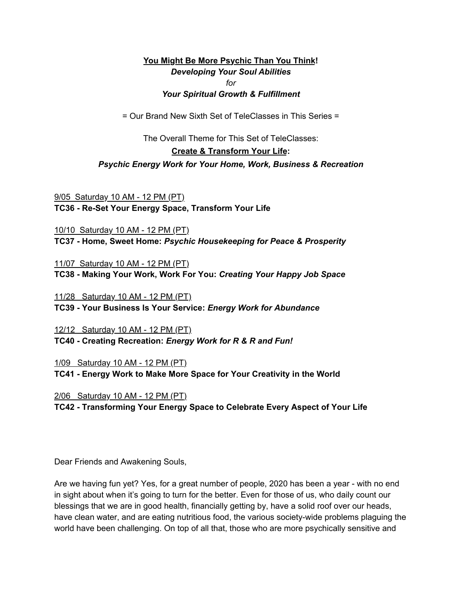### **You Might Be More Psychic Than You Think!** *Developing Your Soul Abilities for Your Spiritual Growth & Fulfillment*

= Our Brand New Sixth Set of TeleClasses in This Series =

The Overall Theme for This Set of TeleClasses:

#### **Create & Transform Your Life:**

### *Psychic Energy Work for Your Home, Work, Business & Recreation*

9/05 Saturday 10 AM - 12 PM (PT) **TC36 - Re-Set Your Energy Space, Transform Your Life**

10/10 Saturday 10 AM - 12 PM (PT) **TC37 - Home, Sweet Home:** *Psychic Housekeeping for Peace & Prosperity*

11/07 Saturday 10 AM - 12 PM (PT) **TC38 - Making Your Work, Work For You:** *Creating Your Happy Job Space*

11/28 Saturday 10 AM - 12 PM (PT) **TC39 - Your Business Is Your Service:** *Energy Work for Abundance*

12/12 Saturday 10 AM - 12 PM (PT) **TC40 - Creating Recreation:** *Energy Work for R & R and Fun!*

1/09 Saturday 10 AM - 12 PM (PT)

**TC41 - Energy Work to Make More Space for Your Creativity in the World**

2/06 Saturday 10 AM - 12 PM (PT) **TC42 - Transforming Your Energy Space to Celebrate Every Aspect of Your Life**

Dear Friends and Awakening Souls,

Are we having fun yet? Yes, for a great number of people, 2020 has been a year - with no end in sight about when it's going to turn for the better. Even for those of us, who daily count our blessings that we are in good health, financially getting by, have a solid roof over our heads, have clean water, and are eating nutritious food, the various society-wide problems plaguing the world have been challenging. On top of all that, those who are more psychically sensitive and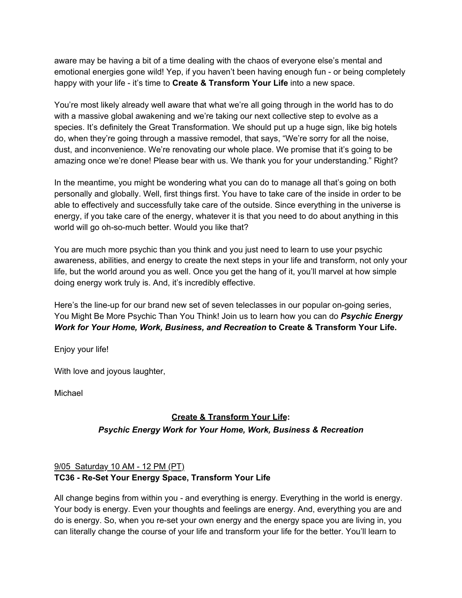aware may be having a bit of a time dealing with the chaos of everyone else's mental and emotional energies gone wild! Yep, if you haven't been having enough fun - or being completely happy with your life - it's time to **Create & Transform Your Life** into a new space.

You're most likely already well aware that what we're all going through in the world has to do with a massive global awakening and we're taking our next collective step to evolve as a species. It's definitely the Great Transformation. We should put up a huge sign, like big hotels do, when they're going through a massive remodel, that says, "We're sorry for all the noise, dust, and inconvenience. We're renovating our whole place. We promise that it's going to be amazing once we're done! Please bear with us. We thank you for your understanding." Right?

In the meantime, you might be wondering what you can do to manage all that's going on both personally and globally. Well, first things first. You have to take care of the inside in order to be able to effectively and successfully take care of the outside. Since everything in the universe is energy, if you take care of the energy, whatever it is that you need to do about anything in this world will go oh-so-much better. Would you like that?

You are much more psychic than you think and you just need to learn to use your psychic awareness, abilities, and energy to create the next steps in your life and transform, not only your life, but the world around you as well. Once you get the hang of it, you'll marvel at how simple doing energy work truly is. And, it's incredibly effective.

Here's the line-up for our brand new set of seven teleclasses in our popular on-going series, You Might Be More Psychic Than You Think! Join us to learn how you can do *Psychic Energy Work for Your Home, Work, Business, and Recreation* **to Create & Transform Your Life.** 

Enjoy your life!

With love and joyous laughter,

Michael

# **Create & Transform Your Life:** *Psychic Energy Work for Your Home, Work, Business & Recreation*

# 9/05 Saturday 10 AM - 12 PM (PT) **TC36 - Re-Set Your Energy Space, Transform Your Life**

All change begins from within you - and everything is energy. Everything in the world is energy. Your body is energy. Even your thoughts and feelings are energy. And, everything you are and do is energy. So, when you re-set your own energy and the energy space you are living in, you can literally change the course of your life and transform your life for the better. You'll learn to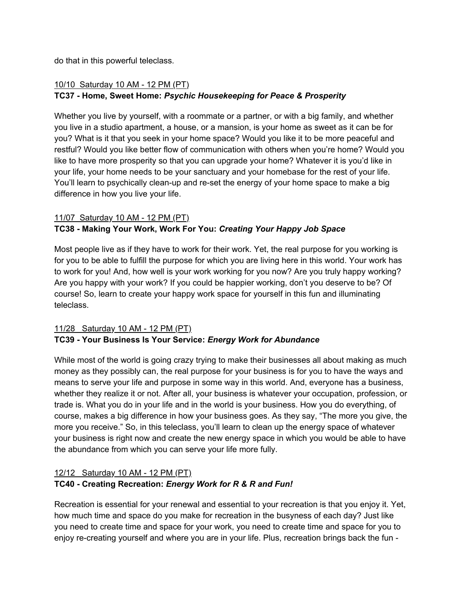do that in this powerful teleclass.

# 10/10 Saturday 10 AM - 12 PM (PT) **TC37 - Home, Sweet Home:** *Psychic Housekeeping for Peace & Prosperity*

Whether you live by yourself, with a roommate or a partner, or with a big family, and whether you live in a studio apartment, a house, or a mansion, is your home as sweet as it can be for you? What is it that you seek in your home space? Would you like it to be more peaceful and restful? Would you like better flow of communication with others when you're home? Would you like to have more prosperity so that you can upgrade your home? Whatever it is you'd like in your life, your home needs to be your sanctuary and your homebase for the rest of your life. You'll learn to psychically clean-up and re-set the energy of your home space to make a big difference in how you live your life.

#### 11/07 Saturday 10 AM - 12 PM (PT)

# **TC38 - Making Your Work, Work For You:** *Creating Your Happy Job Space*

Most people live as if they have to work for their work. Yet, the real purpose for you working is for you to be able to fulfill the purpose for which you are living here in this world. Your work has to work for you! And, how well is your work working for you now? Are you truly happy working? Are you happy with your work? If you could be happier working, don't you deserve to be? Of course! So, learn to create your happy work space for yourself in this fun and illuminating teleclass.

### 11/28 Saturday 10 AM - 12 PM (PT) **TC39 - Your Business Is Your Service:** *Energy Work for Abundance*

While most of the world is going crazy trying to make their businesses all about making as much money as they possibly can, the real purpose for your business is for you to have the ways and means to serve your life and purpose in some way in this world. And, everyone has a business, whether they realize it or not. After all, your business is whatever your occupation, profession, or trade is. What you do in your life and in the world is your business. How you do everything, of course, makes a big difference in how your business goes. As they say, "The more you give, the more you receive." So, in this teleclass, you'll learn to clean up the energy space of whatever your business is right now and create the new energy space in which you would be able to have the abundance from which you can serve your life more fully.

#### 12/12 Saturday 10 AM - 12 PM (PT) **TC40 - Creating Recreation:** *Energy Work for R & R and Fun!*

Recreation is essential for your renewal and essential to your recreation is that you enjoy it. Yet, how much time and space do you make for recreation in the busyness of each day? Just like you need to create time and space for your work, you need to create time and space for you to enjoy re-creating yourself and where you are in your life. Plus, recreation brings back the fun -